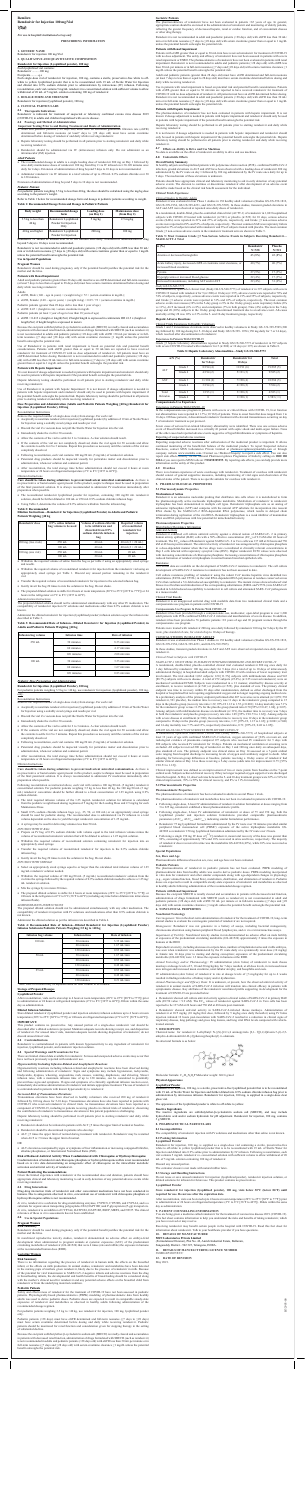### **Remilow Remdesivir for Injection 100 mg/Vial** रेमिलो

## *For use in hospital/ institutional set up only*

#### **PRESCRIBING INFORMATION**

**1. GENERIC NAME** Remdesivir for injection 100 mg/Vial

### **2. QUALITATIVE AND QUANTITATIVE COMPOSITION**

# **Remdesivir for Injection (Lyophilized powder), 100 mg:**

Each lyophilized vial contains: Remdesivir ..........100 mg

### Excipients...........q.s

Each single-dose vial of remdesivir for injection, 100 mg, contains a sterile, preservative-free white to off-<br>white to yellow lyophilized powder that is to be reconstituted with 19 mL of Sterile Water for Injection<br>and di reconstitution, each vial contains 5 mg/mL remdesivir re-concentrated solution with sufficient volume to allow withdrawal of 20 mL of 5 mg/mL solution containing 100 mg of remdesivir.

# **3. DOSAGE FORM AND STRENGTH**

- **Important Testing Prior to and During Treatment and Route of Administration**<br>
 Adult and pediatric patients ( $>$ 28 days old) must have an estimated glomerular filtration rate (eGFR)<br>
determined, and full-term neonates (
- • Hepatic laboratory testing should be performed in all patients prior to starting remdesivir and daily while receiving remdesivir.
- • Remdesivir should be administered via IV (intravenous) infusion only. Do not administer as an intramuscular (IM) injection.

Remdesivir for injection (lyophilized powder), 100 mg

# **4. CLINICAL PARTICULARS**

# **4.1 Therapeutic Indications**

Remdesivir is indicated for treatment of suspected or laboratory confirmed corona virus disease 2019 (COVID-19) in adults and children hospitalised with severe disease.

# **4.2 Posology and Method of Administration**

# *Adult Patients*

- • The recommended dosage in adults is a single loading dose of remdesivir 200 mg on Day 1 followed by once-daily maintenance doses of remdesivir 100 mg from Day 2 via IV infused over 30-120 minutes once daily for 4 days. Extension of administration of drug beyond 5 days to 10 days is not recommended.
- • Administer remdesivir via IV infusion in a total volume of up to 250 mL 0.9% sodium chloride over 30 to 120 minutes.

- eGFR, Female: (140 age in years)  $\times$  (weight in kg)  $\times$  0.85 / 72  $\times$  (serum creatinine in mg/dL)
- Pediatric patients (greater than 28 days old to less than 1 year of age) • eGFR: 0.45 × (height in cm) / serum creatinine in mg/dL
- Pediatric patients (at least 1 year of age to less than 18 years of age)
- eGFR = 0.413 x (height or length)/Scr) if height/length is expressed in centimeters OR 41.3 x (height or length)/Scr) if height/length is expressed in meters

Extension of administration of drug beyond 5 days to 10 days is not recommended.

# *Pediatric Patients*

For pediatric patients weighing 3.5 kg to less than 40 kg, the dose should be calculated using the mg/kg dose according to the patient's weight.

Refer to Table 1 below for recommended dosage form and dosage in pediatric patients according to weight. **Table 1: Recommended Dosage Form and Dosage in Pediatric Patients**

| <b>Body weight</b>                     | <b>Recommended dosage</b><br>form                      | <b>Loading dose</b><br>$($ on Day 1 $)$ | <b>Maintenance dose</b><br>(from Day 2) |
|----------------------------------------|--------------------------------------------------------|-----------------------------------------|-----------------------------------------|
| 3.5 kg to less than<br>$40 \text{ kg}$ | Remdesivir Lyophilized<br>Powder for Injection<br>Only | $5 \text{ mg/kg}$                       | $2.5 \text{ mg/kg}$                     |
| 40 kg and higher                       | Remdesivir Lyophilized<br>Powder for Injection         | $200 \text{ mg}$                        | $100$ mg                                |

Hepatic laboratory testing should be performed in all patients prior to starting remdesivir and daily while receiving remdesiv

Use of Remdesivir in patient with hepatic Impairment: It is not known if dosage adjustment is needed in patients with hepatic impairment and remdesivir should only be used in patients with hepatic impairment if<br>the potential benefit outweighs the potential risk. Hepatic laboratory testing should be performed in all patients<br>

Remdesivir IV should be infused over 30 to 120 minutes once daily. Extension of administration of drug beyond 5 days to 10 days is not recommended.

Remdesivir is not recommended in adult and paediatric patients (>28 days old) with eGFR less than 30 mL/<br>min or in full-term neonates (≥7 days to ≤28 days old) with serum creatinine greater than or equal to 1 mg/dL<br>unless

# **Use in Special Populations**

#### **Pregnant Women**

Remdesivir should be used during pregnancy only if the potential benefit justifies the potential risk for the mother and the fetus.

#### **Patients with Renal Impairment**

Adult and pediatric patients (greater than 28 days old) must have an eGFR determined and full-term neonates (at least 7 days to less than or equal to 28 days old) must have serum creatinine determined before dosing and daily while receiving remdesivir.

- detely
- • Following reconstitution, each vial contains 100 mg/20 mL (5 mg/mL) of remdesivir solution.
- Parenteral drug products should be inspected visually for particulate matter and discoloration prior to administration, whenever solution and container permit.
- • After reconstitution, the total storage time before administration should not exceed 4 hours at room temperature or 24 hours at refrigerated temperature (2°C to 8°C [36°F to 46°F]).

# Adults

• eGFR, Male:  $(140 - age \text{ in years}) \times (weight \text{ in kg}) / 72 \times (serum \text{ creationine in mg/dL});$ 

- • The reconstituted remdesivir lyophilized powder for injection, containing 100 mg/20 mL remdesivir solution, should be further diluted in 100 mL or 250 mL 0.9% sodium chloride infusion bags.
- Using Table 2, determine the volume of 0.9% saline to withdraw from the infusion bag

Because the excipient sulfobutylether-β-cyclodextrin sodium salt (SBECD) is renally cleared and accumulates in patients with decreased renal function, administration of drugs formulated with SBECD (such as remdesivir) is not recommended in adults and pediatric patients (>28 days old) with eGFR <30 mL per minute or in full-term neonates (≥7 days and ≤28 days old) with serum creatinine clearance ≥1 mg/dL unless the potential benefit outweighs the potential risk.

Use of Remdesivir in patients with renal impairment is based on potential risk and potential benefit<br>considerations. Patients with eGFR greater than or equal to 30 mL/min are reported to have received<br>remdesivir for treatm eGFR determined before dosing. Remdesivir is not recommended in adult and paediatric patients (>28 days<br>old) with eGFR less than 30 mL/min or in full-term neonates (≥7 days to ≤28 days old) with serum creatinine<br>greater t

- Withdraw the required volume of reconstituted remdesivir for injection from the remdesivir vial using an appropriately sized syringe per Table 1. Discard any unused portion remaining in the remdesivir vial.
- Transfer the required volume of reconstituted remdesivir for injection to the selected infusion bag
- • Gently invert the bag 20 times to mix the solution in the bag. Do not shake.
- The prepared diluted solution is stable for 4 hours at room temperature (20°C to 25°C [68°F to 77°F]) or 24 hours in the refrigerator at 2°C to 8°C (36°F to 46°F).

<u>Administration Instructions</u><br>The prepared diluted solution should not be administered simultaneously with any other IV medication. The<br>compatibility of remdesivir injection IV solutions and medications other than 0.9% sod known.

inister the diluted remdesivir for injection (lyophilized powder) infusion solution as per the infusion rate described in Table 3.

For pediatric patients weighing 3.5 kg to <40 kg, use remdesivir for injection (lyophilized powder), 100 mg, only.

#### **Patients with Hepatic Impairment**

lown if dosage adjustment is needed in patients with hepatic impairment and remdesivir should only be used in patients with hepatic impairment if the potential benefit outweighs the potential risk

Care should be taken during admixture to prevent inadvertent microbial contamination. As there is<br>no preservative or bacteriostatic agent present in this product, aseptic technique must be used in preparation<br>of the final preparation when possible.

## **Dose Preparation and Administration (Adults and Pediatric Patients Weighing ≥40 kg) Remdesivir for Injection (Lyophilized Powder), 100 mg**

#### Reconstitution Instructions

Remove the required number of single-dose vial(s) from storage. For each vial:

- • Aseptically reconstitute remdesivir for injection (lyophilized powder) by addition of 19 mL of Sterile Water for Injection using a suitably sized syringe and needle per vial.
- • Discard the vial if a vacuum does not pull the Sterile Water for Injection into the vial.
- Immediately shake the vial for 30 seconds.
- Allow the contents of the vial to settle for 2 to 3 minutes. A clear solution should result.
- If the contents of the vial are not completely dissolved, shake the vial again for 30 seconds and allow the contents to settle for 2 to 3 minutes. Repeat this procedure as necessary until the contents of the vial are

#### Dilution Instructions

**Lyophilized Powder**<br>After reconstitution, vials can be stored up to 4 hours at room temperature (20°C to 25°C [68°F to 77°F]) prior<br>to administration or 24 hours at refrigerated temperature (2°C to 8°C [36°F to 46°F]). Di day as administration.

This product contains no preservative. Any unused portion of a single-dose remdesivir vial should be discarded after a diluted solution is prepared. Maintain adequate records showing receipt, use, and disposition<br>of remdesivir. For unused intact vials, maintain adequate records showing disposition of remdesivir; do not<br>di

**Care should be taken during admixture to prevent inadvertent microbial contamination.** As there is no preservative or bacteriostatic agent present in this product, aseptic technique must be used in preparation of the final parenteral solution. It is always recommended to administer IV medication immediately after preparation when possible.

# **Table 2: Recommended**

### **Dilution Instructions—Remdesivir for Injection (Lyophilized Powder) in Adults and Pediatric Patients Weighing ≥40 kg**

| <b>Remdesivir dose</b>      | 0.9% saline infusion<br>bag volume to be used | Volume of sodium chloride<br>to be withdrawn and<br>discarded from 0.9%<br>sodium chloride infusion<br>bag | <b>Required volume</b><br>of reconstituted<br>remdesivir for<br>injection |
|-----------------------------|-----------------------------------------------|------------------------------------------------------------------------------------------------------------|---------------------------------------------------------------------------|
| 200 mg (two vials)          | $250 \text{ mL}$                              | $40$ mL                                                                                                    | 40 ml $(2 \times 20$ mL)                                                  |
|                             | $100 \text{ mL}$                              | $40$ mL                                                                                                    | 40 ml $(2 \times 20$ mL)                                                  |
| $100 \text{ mg}$ (one vial) | $250$ mL                                      | $20 \text{ mL}$                                                                                            | $20 \text{ mL}$                                                           |
| ---- - -                    | $100 \text{ mL}$<br>.                         | $20 \text{ mL}$<br>.                                                                                       | $20 \text{ mL}$<br>.                                                      |

• Withdraw the required volume of saline from the bag as per table 2 using an appropriately sized syringe and needle.

• ALT ≥5 times the upper limit of normal during treatment with remdesivir. Remdesivir may be restarted when ALT is <5 times the upper limit of normal.

**Table 3: Recommended Rate of Infusion—Diluted Remdesivir for Injection (Lyophilized Powder) in Adults and Pediatric Patients Weighing ≥40 kg**

There is no information regarding the presence of remdesivir in human milk, the effects on the breastfed infant, or the effects on milk production. In animal studies, remdesivir and metabolites have been detected<br>in the nursing pups of mothers given remdesivir, likely due to the presence of remdesivir in milk. Because<br>of the in breastfeeding infants, the developmental and health benefits of breastfeeding should be considered along<br>with the mother's clinical need for remdesivir and any potential adverse effects on the breastfed child from<br>remde

| <b>Infusion bag volume</b> | <b>Infusion time</b> | Rate of infusion |
|----------------------------|----------------------|------------------|
| $250$ mL                   | 30 minutes           | $8.33$ mL/min    |
|                            | 60 minutes           | $4.17$ mL/min    |
|                            | 120 minutes          | $2.08$ mL/min    |
| $100$ mL                   | 30 minutes           | $3.33$ mL/min    |
|                            | 60 minutes           | $1.67$ mL/min    |
|                            | 120 minutes          | $0.83$ mL/min    |

# *Pediatric Dose Preparation and Administr*

# **Remdesivir for Injection (Lyophilized Powder), 100 mg**

Reconstitution Instructions

Remove the required number of single-dose vial(s) from storage. For each vial:

Safety and effectiveness of remdesivir for the treatment of COVID-19 have not been assessed in pediatric<br>patients. Physiologically-based pharmacokinetics (PBPK) modeling of pharmacokinetic data from healthy<br>adults was used exposures of remdesivir and metabolites as observed in healthy adults following administration of the recommended dosage regimen.

- • Aseptically reconstitute remdesivir for injection (lyophilized powder) by addition of 19 mL of Sterile Water for Injection using a suitably sized syringe and needle per vial.
- • Discard the vial if a vacuum does not pull the Sterile Water for Injection into the vial.
- Immediately shake the vial for 30 seconds.
- Allow the contents of the vial to settle for 2 to 3 minutes. A clear solution should result.
- • If the contents of the vial are not completely dissolved, shake the vial again for 30 seconds and allow the contents to settle for 2 to 3 minutes. Repeat this procedure as necessary until the contents of the vial are completely dissolved.
- • Following reconstitution, each vial contains 100 mg/20 mL (5 mg/mL) of remdesivir solution.
- • Parenteral drug products should be inspected visually for particulate matter and discoloration prior to administration, whenever solution and container permit.
- • After reconstitution, the total storage time before administration should not exceed 4 hours at room temperature or 24 hours at refrigerated temperature (2°C to 8°C [36°F to 46°F]).

### Dilution Instructions

Following reconstitution as instructed above, each vial will contain a 100 mg/20 mL (5 mg/mL) remdesivir concentrated solution. For pediatric patients weighing 3.5 kg to less than 40 kg, the 100 mg/20 mL (5 mg/ mL) remdesivir concentrate should be further diluted to a fixed concentration of 1.25 mg/mL using 0.9% sodium chloride.

- • The total required infusion volume of the 1.25 mg/mL remdesivir solution for infusion is calculated from the pediatric weight-based dosing regimens of 5 mg/kg for the Loading Dose and 2.5 mg/kg for each Maintenance Dose.
- Small 0.9% sodium chloride infusion bags (e.g., 25, 50, or 100 mL) or an appropriately sized syringe should be used for pediatric dosing. The recommended dose is administered via IV infusion in a total should be used for pediatric dosing. The recommended dose is administered via IV infusion in a total volume dependent on the dose to yield the target remdesivir concentration of 1.25 mg/mL.
- • A syringe may be used for delivering volumes less than 50 mL.

*INFUSION WITH IV BAG*

- • Prepare an IV bag of 0.9% sodium chloride with volume equal to the total infusion volume minus the volume of reconstituted remdesivir solution that will be diluted to achieve a 1.25 mg/mL solution.
- Withdraw the required volume of reconstituted solution containing remdesivir for injection into an appropriately sized syringe.
- • Transfer the required volume of reconstituted remdesivir for injection to the 0.9% sodium chloride infusion bag.
- Gently invert the bag 20 times to mix the solution in the bag. Do not shake.
- *INFUSION WITH SYRINGE*
- • Select an appropriately sized syringe equal to or larger than the calculated total infusion volume of 1.25 mg/mL remdesivir solution needed.
- • Withdraw the required volume of 100 mg/20 mL (5 mg/mL) reconstituted remdesivir solution from the vial into the syringe followed by the required volume of 0.9% sodium chloride needed to achieve a 1.25 mg/ mL remdesivir solution.
- Mix the syringe by inversion 20 times
- The prepared diluted solution is stable for 4 hours at room temperature (20°C to 25°C [68°F to 77°F]) or 24 hours in the refrigerator at 2°C to 8°C (36°F to 46°F) (including any time before dilution into intravenous infusion fluids).

*Study GS-US-540-5773* In a randomized, open-label clinical trial (Study GS-US-540-5773) of remdesivir in 397 subjects with severe COVID-19 treated with remdesivir for 5 (n=200) or 10 days (n=197), adverse events were reported in 70% and 74% of subjects, respectively, serious adverse events were reported in 21% and 35% of subjects, respectively,<br>and Grade ≥3 adverse events were reported in 31% and 43% of subjects, respectively. The most common<br>adverse eve vs 11%), ALT increased (6% vs 8%), and constipation (7% in both groups). Nine (4%) subjects in the 5-day<br>group and 20 (10%) subjects in the 10-day group discontinued treatment due to an adverse event. All-cause<br>mortality a

*ADMINISTRATION INSTRUCTIONS*

The prepared diluted solution should not be administered simultaneously with any other medication. The compatibility of remdesivir injection with IV solutions and medications other than 0.9% sodium chloride is not known.

Administer the diluted solution as per the infusion rate described in Table 4.

#### **n/N (%) Remdesivir for 5 days Remdesivir for 10 days Total** ALT Grade 3 | 8/194 (4) | 11/191 (6) | 19/385 (5) Grade 4 | 4/194 (2) 5/191 (3) | 9/385 (2) AST | Grade 3 | 11/194 (6) | 7/190 (4) | 18/384 (5) Grade 4 | 3/194 (2) 4/190 (2) | 7/384 (2) Total Bilirubin Grade 3 | 1/193 (1) 3/190 (2) | 4/383 (1) Grade 4 0 1/190 (1) 1/383 (<1)

# **compassionate-Use Experience**

### **Table 4: Recommended Rate of Infusion—Diluted Remdesivir for Injection (Lyophilized Powder) Infusion Solution in Pediatric Patients Weighing 3.5 kg to <40 kg**

| <b>Infusion bag volume</b> | <b>Infusion time</b> | Rate of infusion  |
|----------------------------|----------------------|-------------------|
| $100$ mL                   | 30 minutes           | $3.33$ mL/min     |
|                            | 60 minutes           | $1.67$ mL/min     |
|                            | 120 minutes          | $0.83$ mL/min     |
| $50$ mL                    | 30 minutes           | $1.67$ mL/min     |
|                            | 60 minutes           | $0.83$ mL/min     |
|                            | 120 minutes          | $0.42$ mI /min    |
| $25$ mL                    | 30 minutes           | $0.83$ mL/min     |
|                            | 60 minutes           | $0.42$ mI /min    |
|                            | 120 minutes          | $0.21$ mI $/$ min |

Note: Rate of infusion may be adjusted based on total volume to be infused.

In the compassionate-use program in patients with severe or critical illness with COVID- 19, liver function<br>test abnormalities were reported in 11.7% (19/163) of patients. Time to onset from first dose ranged from 1 to<br>16 5 of remdesivir treatment as per protocol.

# **Storage of Prepared Dosages**

#### **Diluted Infusion Solutions**

Store diluted remdesivir (lyophilized powder and injection solution) infusion solutions up to 4 hours at room temperature (20°C to 25°C [68°F to 77°F]) or 24 hours at refrigerated temperature (2°C to 8°C [36°F to 46°F]).

# **IMPORTANT:**

# **4.3 Contraindications**

Remdesivir is an adenosine nucleotide prodrug that distributes into cells where it is metabolized to form<br>the pharmacologically active nucleoside triphosphate metabolite. Metabolism of remdesivir to remdesivir<br>triphosphate adenosine triphosphate (ATP) and competes with the natural ATP substrate for incorporation into nascent<br>RNA chains by the SARS-CoV-2 RNA-dependent RNA polymerase, which results in delayed chain<br>termination during replicati DNA and RNA polymerases with low potential for mitochondrial toxicity.

Remdesivir is contraindicated in patients with known hypersensitivity to any ingredient of remdesivir for injection, lyophilized powder, and remdesivir injection solution.

# **4.4 Special Warnings and Precautions for Use**

There are limited clinical data available for remdesivir. Serious and unexpected adverse events may occur that have not been previously reported with remdesivir use.

## *Hypersensitivity Including Infusion-Related and Anaphylactic Reactions*

Remdesivir exhibited cell culture antiviral activity against a clinical isolate of SARS-CoV- 2 in primary<br>human airway epithelial (HAE) cells with a 50% effective concentration (EC<sub>sa</sub>) of 9.9 mM after 48 hours of<br>treatme with increasing concentrations of chloroquine phosphate. Increasing concentrations of chloroquine phosphate reduced formation of remdesivir triphosphate in normal human bronchial epithelial cells.

#### **Resistance**

No clinical data are available on the development of SARS-CoV-2 resistance to remdesivir. The cell culture development of SARS-CoV-2 resistance to remdesivir has not been assessed to date.

Hypersensitivity reactions including infusion-related and anaphylactic reactions have been observed during and following administration of remdesivir. Signs and symptoms may include hypotension, tachycardia, bradycardia, dyspnea, wheezing, angioedema, rash, nausea, vomiting, diaphoresis, and shivering. Slower infusion rates, with a maximum infusion time of up to 120 minutes, can be considered to potentially prevent these signs and symptoms. If signs and symptoms of a clinically significant infusion reaction occur, immediately discontinue administration of remdesivir and initiate appropriate treatment. The use of remdesivir is contraindicated in patients with known hypersensitivity to remdesivir.

Cell culture resistance profiling of remdesivir using the rodent CoV murine hepatitis virus identified two<br>substitutions (F476L and V553L) in the viral RNA-dependent RNA polymerase at residues conserved across-<br>CoVs that c resulted in 6-fold reduced susceptibility to remdesivir in cell culture and attenuated SARS- CoV pathogenesis in a mouse model.

Remdesivir has been provided through a compassionate–use, multicenter, open-label program to over 1,200<br>adult patients with PCR-confirmed SARS-CoV-2 infection and manifestations of severe disease. In addition,<br>remdesivir h compassionate- use program.

# *Increased Risk of Transaminase Elevations*

Transaminase elevations have been observed in healthy volunteers who received 200 mg of remdesivir followed by 100 mg doses for 5-10 days. Transaminase elevations have also been reported in patients with COVID-19 who received remdesivir in clinical trials. As transaminase elevations have been reported as a component of COVID-19, including in patients receiving placebo in clinical trials of remdesivir, discerning the contribution of remdesivir to transaminase elevations in this patient population is challenging.

Hepatic laboratory testing should be performed in all patients prior to starting remdesivir and daily while receiving remdesivir.

• Remdesivir should not be initiated in patients with ALT ≥5 times the upper limit of normal at baseline.

• Remdesivir should be discontinued in patients who develop:

### OR

• ALT elevation accompanied by signs or symptoms of liver inflammation or increasing conjugated bilirubin, alkaline phosphatase, or International Normalized Ratio (INR).

# **Risk of Reduced Antiviral Activity When Coadministered with Chloroquine or Hydroxychloroquine**

Coadministration of remdesivir and chloroquine phosphate or hydroxychloroquine sulfate is not recommended based on *in vitro* data demonstrating an antagonistic effect of chloroquine on the intracellular metabolic activation and antiviral activity of remdesivir.

**Patient Monitoring Recommendations** Given the limited experience with remdesivir at the recommended dose and duration, patients should have appropriate clinical and laboratory monitoring to aid in early detection of any potential adverse events while receiving remdesivir.

*STUDY GS-US-540-5773 IN SUBJECTS WITH SEVERE COVID-19*<br>A randomized, open-label multi-center clinical trial (Study GS-US-540-5773) of hospitalized subjects at<br>least 12 years of age with confirmed SARS-CoV-2 infection, ox radiological evidence of pneumonia compared 197 subjects who received IV remdesivir for 5 days with 200 subjects who received IV remdesivir for 10 days. Patients on mechanical ventilation at screening were excluded. All subjects received 200 mg of remdesivir on Day 1 and 100 mg once daily on subsequent days, plus standard of care. The primary endpoint was clinical status on Day 14 assessed on a 7-point ordinal scale ranging from hospital discharge to increasing levels of oxygen and ventilatory support to death. After adjusting for between-group differences at baseline, patients receiving a 10-day course of remdesivir had similar clinical status at Day 14 as those receiving a 5-day course (odds ratio for improvement: 0.75; [95% CI 0.51 to 1.12]).

Clinical improvement was defined as an improvement of two or more points from baseline on the 7-point ordinal scale. Subjects achieved clinical recovery if they no longer required oxygen support or were discharged<br>from the hospital. At Day 14, observed rates between the 5- and 10-day treatment groups were 65% vs 54% for<br>cl

#### **4.5 Drug Interactions**

Drug-drug interaction trials of remdesivir and other concomitant medications have not been conducted in humans. Due to antagonism observed in vitro, concomitant use of remdesivir with chloroquine phosphate or hydroxychloroquine sulfate is not recommended.

- The pharmacokinetics of remdesivir and metabolites have not been in evaluated in patients with COVID-19. • Following single-dose, 2-hour IV administration of remdesivir solution formulation at doses ranging from
- 3 to 225 mg, remdesivir exhibited a linear pharmacokinetic profile. • Following single-dose, 2-hour IV administration of remdesivir at doses of 75 and 150 mg, both the
- lyophilized powder and injection solution formulations provided comparable pharmacokinetic parameters (AUC<sub>inf</sub>, AUC<sub>ins</sub>, and C<sub>max</sub>), indicating similar formulation performance. • Remdesivir 75 mg lyophilized formulation administered by the IV route over 30 minutes provided similar
- peripheral blood mononuclear cell (PBMC) exposure of the active triphosphate metabolite GS-<br>443902 as remdesivir 150 mg lyophilized formulation administered by the IV route over 2 hours.<br> $\bullet$  Following a single 150 mg IV
- of remdesivir dose recovered in urine was the metabolite GS-441524 (49%), while 10% was recovered as desivir.

*In vitro*, remdesivir is a substrate for drug-metabolizing enzymes, CYP2C8, CYP2D6, and CYP3A4, and is a substrate for organic anion transporting polypeptides 1B1 (OAPT1B1) and P-glycoprotein (P-gp) transporters. *In vitro*, remdesivir is an inhibitor of CYP3A4, OATP1B1, OATP1B3, BSEP, MRP4, and NTCP. The clinical relevance of these *in vitro* assessments has not been established.

#### **4.6 Use in Special Populations**

# **Pregnant Women**

**Risk Summary**

Remdesivir should be used during pregnancy only if the potential benefit justifies the potential risk for the mother and the fetus.

In nonclinical reproductive toxicity studies, remdesivir demonstrated no adverse effect on embryo-fetal development when administered to pregnant animals at systemic exposures (AUC) of the predominant circulating metabolite of remdesivir (GS-441524) that were 4 times (rats and rabbits) the exposure in humans at the recommended human dose (RHD).

## **Lactating Women**

# **Risk Summary**

administration of drugs formulated with SBECD (such as remdesivir) is not recommended in adult and<br>pediatric patients (>28 days old) with eGFR<30 mL per minute or in full-term neonates (≥7 days and ≤28<br>days old) with seru **6. NONCLINICAL PROPERTIES**

N**onclinical Toxicology**<br>Carcinogenesis: Given the short-term administration of remdesivir for the treatment of COVID-19, long- term<br>animal studies to evaluate the carcinogenic potential of remdesivir are not required.

*Mutagenesis:* Remdesivir was not genotoxic in a battery of assays, including bacterial mutagenicity, become aberration using human peripheral blood lymphocytes, and *in vivo* rat micronucleus as

*Impairment of Fertility:* Nonclinical toxicity studies in rats demonstrated no adverse effect on male fertility at exposures of the predominant circulating metabolite (GS-441524) approximately 2 times the exposure in  $ns$  at the RHD.

Reproductive toxicity, including decreases in corpora lutea, numbers of implantation sites and viable was seen when remdesivir was administered by the IV route daily at a systemically toxic dose (10 mg/kg) in female rats 14 days prior to mating and during conception; exposures of the predominant circulating metabolite (GS-441524) were 1.3 times the exposure in humans at the RHD.

#### **Pediatric Patients**

For pediatric patients weighing 3.5 kg to <40 kg, use remdesivir for injection, 100 mg, lyophilized powder only.

• Remdesivir showed cell culture antiviral activity against a clinical isolate of SARS-CoV-2 in primary HAE cells  $(EC50 \text{ value} = 9.9 \text{ nM})$ . The  $EC_{50}$  values of remdesivir against SARS-CoV-2 in Vero cells has been reported to be 137 nM at 24 hours and 750 nM at 48 hours post-treatment.

Pediatric patients (>28 days) must have eGFR determined and full-term neonates (≥7 days to ≤28 days) must have serum creatinine determined before dosing and daily while receiving remdesivir. Pediatric patients should be monitored for renal function and consideration given for stopping therapy in the setting of substantial decline.

• Remdesivir showed antiviral activity in SARS-CoV-2-infected rhesus monkeys. Administration remdesivir at 10/5 mg/kg (10 mg/kg first dose, followed by 5 mg/kg once daily thereafter) using IV bolus injection initiated 12 hours post-inoculation with SARS-CoV-2 resulted in a reduction in clinical signs of respiratory disease, lung pathology and gross lung lesions, and lung viral RNA levels compared with vehicletreated animals

Because the excipient sulfobutylether-β-cyclodextrin sodium salt (SBECD) is renally cleared and accumulates in patients with decreased renal function, administration of drugs formulated with SBECD (such as remdesivir) is not recommended in adults and pediatric patients (>28 days old) with eGFR less than 30 mL per minute or in full-term neonates ( $\geq$ 7 days and  $\leq$ 28 days old) with serum creatinine clearance  $\geq$ 1 mg/dL unless the potential benefit outweighs the potential risk.

#### **Geriatric Patients**

The pharmacokinetics of remdesivir have not been evaluated in patients >65 years of age*.* In general, appropriate caution should be exercised in the administration of remdesivir and monitoring of elderly patients, reflecting the greater frequency of decreased hepatic, renal or cardiac function, and of concomitant disease or other drug therapy.

Remdesivir is not recommended in adult and paediatric patients (>28 days old) with eGFR less than 30 mL/ min or in full-term neonates (≥7 days to ≤28 days old) with serum creatinine greater than or equal to 1 mg/dL unless the potential benefit outweighs the potential risk.

# **Patients with Renal Impairment**

**9. PATIENT COUNSELLING INFORMATION**<br>You are being given a medicine called remdesivir for the treatment of coronavirus disease 2019 (COVID-19).<br>This fact sheet contains information to help you understand the risks and bene you have received or may receive.

Patients with eGFR greater than or equal to 30 mL/min have received remdesivir for treatment of COVID-19 with no dose adjustment. The safety and efficacy of remdesivir have not been assessed in patients with severe renal impairment or ESRD. The pharmacokinetics of remdesivir have not been evaluated in patients with renal impairment. Remdesivir is not recommended in adults and pediatric patients (>28 days old) with eGFR less than 30 mL per minute or in full-term neonates (≥7 days and ≤28 days old) with serum creatinine clearance ≥1 mg/dL unless the potential benefit outweighs the potential risk.



Adult and pediatric patients (greater than 28 days old) must have eGFR determined and full-term neonates (at least 7 days to less than or equal to 28 days old) must have serum creatinine determined before dosing and daily while receiving remdesivir.

Use in patients with renal impairment is based on potential risk and potential benefit considerations. Patients with eGFR greater than or equal to 30 mL/min are reported to have received remdesivir for treatment of<br>COVID-19 with no dose adjustment of remdesivir. All patients must have an eGFR determined before dosing.<br>Remdesivir is min or in full-term neonates (≥7 days to ≤28 days old) with serum creatinine greater than or equal to 1 mg/dL unless the potential benefit outweighs the potential risk.

# **Patients with Hepatic Impairment**

The pharmacokinetics of remdesivir has not been evaluated in patients with hepatic impairment. It is not<br>known if dosage adjustment is needed in patients with hepatic impairment and remdesivir should only be used<br>in patien

Hepatic laboratory testing should be performed in all patients prior to starting remdesivir and daily while receiving remdesivir.

It is not known if dosage adjustment is needed in patients with hepatic impairment and remdesivir should only be used in patients with hepatic impairment if the potential benefit outweighs the potential risk. Hepatic laboratory testing should be performed in all patients prior to starting remdesivir and daily while receiving remdesivir.

# **4.7 Effects on Ability to Drive and Use Machines**

No data is available on the effect of remdesivir on ability to drive and use machines.

### **4.8 Undesirable Effects**

#### **Overall Safety Summary**

In healthy subjects and hospitalized patients with polymerase chain reaction (PCR)- confirmed SARS-CoV-2 infection, graded elevations in ALT and AST have been observed with a loading dose of remdesivir 200 mg administered by the IV route on day 1 followed by 100 mg administered by the IV route once daily for up to 9 days. The mechanism of these elevations is unknown.

Patients should have appropriate clinical and laboratory monitoring to aid in early detection of any potential adverse events. The decision to continue or discontinue remdesivir after development of an adverse event should be made based on the clinical risk benefit assessment for the individual*.*

# *Clinical Trials Experience*

*Clinical Studies In Healthy Adults* Remdesivir was evaluated in four Phase 1 studies in 138 healthy adult volunteers (Studies GS-US-399-1812, GS-US-399-1954, GS-US-399-4231, and GS-US-399-5505). In these studies, transient graded elevations in ALT and AST were observed at repeated once-daily doses of remdesivir.

In a randomized, double-blind, placebo-controlled clinical trial (ACTT-1) of remdesivir in 1,063 hospitalized subjects with COVID-19 treated with remdesivir (n=541) or placebo (n=522) for 10 days, serious adverse<br>events (SAEs) were reported in 21% and 27% of subjects, respectively, and Grade  $\geq$ 3 non-serious adverse<br>events were Grade ≥3 non-serious adverse events in the remdesivir treatment arm are shown in Table 5.

**Table 5: Most Common Grade ≥3 Non-Serious Adverse Events in Subjects Receiving Remdesivir— NIAID ACTT-1 Trial**

| n(%)                                                                                                | Remdesivir<br>$N = 538$ | Placebo<br>$N = 521$ |
|-----------------------------------------------------------------------------------------------------|-------------------------|----------------------|
| Anemia or decreased hemoglobin                                                                      | 43 (8%)                 | 43 (8%)              |
| Acute kidney injury, decreased eGFR or creatinine renal clearance, or<br>increased blood creatinine | 40 (7%)                 | 40 (7%)              |
| Pvrexia                                                                                             | 27(5%)                  | 17(3%)               |
| Hyperglycemia or increased blood glucose                                                            | 22(4%)                  | 17(3%)               |
| Increased transaminases, including ALT and/or AST                                                   | 22(4%)                  | 31(6%)               |
| Study GS-US-540-5773                                                                                |                         |                      |

## **Hepatic Adverse Reactions**

# Clinical Trials Experience In Healthy Volunteers

Grade 1 and 2 transaminase elevations were observed in healthy volunteers in Study GS- US-399-5505 (200 mg followed by 100 mg dosing for 5–10 days) and Study GS-US-399- 1954 (150 mg daily for 7 or 14 days), which resolved after discontinuation of remdesivir.

#### Experience In Patients With COVID-19

Grade ≥3 hepatic laboratory abnormalities reported in Study GS-US-540-5773 of remdesivir in 397 subjects with severe COVID-19 treated with remdesivir for 5 (n=200) or 10 days (n=197) are shown in Table 8. **Table 8: Hepatic Laboratory Abnormalities—Study GS-US-540-5773**

# Experience in Patients With COVID -19

Seven cases of serious liver-related laboratory abnormality were identified. There was one serious adverse event of blood bilirubin increased in a critically ill patient with septic shock and multi-organ failure. None of the other cases had reported adverse events suggestive of hyperbilirubinemia or symptoms of hepatitis.

# Reporting of suspected adverse reactions

Reporting suspected adverse reactions after authorisation of the medicinal product is important. It allows<br>continued monitoring of the benefit/risk balance of the medicinal product. To report Suspected Adverse<br>Reactions, c company website www.msnlabs.com->Contact us->Medical Enquiry/ to report a side effect. You can report side effects directly via the National Pharmacovigilance Programme of India by calling on 1800-180<br>3024 or you can report to MSN Labs on +918458305295. By reporting side effects, you can help provide more<br>informatio

# **4.9 Overdose**

There is no human experience of acute overdosage with remdesivir. Treatment of overdose with remdesivir<br>should consist of general supportive measures, including monitoring of vital signs and observation of the<br>clinical sta

**5. PHARMACOLOGICAL PROPERTIES**

# **5.1 Pharmacodynamic Properties**

# **Mechanism of Action**

# **Pharmacodynamic Properties**

Microbiology/Resistance Information

Antiviral Activity

Clinical Trial Results Remdesivir is an unapproved antiviral drug with available data from two randomized clinical trials and a compassionate-use program in patients with COVID-19

# Compassionate-Use Program In Patients With COVID -19

Patients were treated with remdesivir 200 mg once daily followed by remdesivir 100 mg for 9 days by the IV route, plus standard of care, for a total of up to 10 days of therapy.

# CLINICAL STUDIES IN HEALTHY ADULTS

Remdesivir was evaluated in four Phase 1 studies in 138 healthy adult volunteers (Studies GS-US-399-1812, GS-US-399-1954, GS-US-399-4231, and GS-US-399-5505).

In these studies, transient graded elevations in ALT and AST were observed at repeated once-daily doses of remdesivir.

#### *Clinical Trials in Subjects with COVID-19*

*NIAID ACTT-1 STUDY TRIAL IN SUBJECTS WITH MILD/MODERATE AND SEVERE COVID-19*

A randomized, double-blind, placebo-controlled clinical trial evaluated remdesivir 200 mg once daily for 1 day followed by remdesivir 100 mg once daily for 9 days of that of up to 10 days of intravenusly additional daminis enrollment, to receive remdesivir (n=541) or placebo (n=522), plus standard of care. The primary clinical endpoint was time to recovery within 28 days after randomization, defined as either discharged from the hospital or hospitalized but not requiring supplemental oxygen and no longer requiring ongoing medical care. In a preliminary analysis of the primary endpoint performed after 607 recoveries were attained (n=1,059; 538<br>remdesivir, 521 placebo), the median time to recovery was 11 days in the remdesivir group compared to 15<br>days in for the remdesivir group versus 11.9% for the placebo group (hazard ratio 0.70 [95% CI 0.47, 1.04], p=0.07).<br>Among subjects with mild/moderate disease at enrollment (n=119), the median time to recovery was 5 days<br>in both t with severe disease at enrollment (n=940), the median time to recovery was 12 days in the remdesivir group<br>compared to 18 days in the placebo group (recovery rate ratio, 1.37; [95% CI, 1.15 to 1.63]; p<0.001; n=940)<br>and 14

### **5.2 Pharmacokinetic Properties**

# **Pharmacokinetic Properties**

The pharmacokinetics of remdesivir has been evaluated in adults in several Phase 1 trials.

### **Special Populations**

## **Sex, Race and Age**

Pharmacokinetic differences based on sex, race, and age have not been evaluated.

### **Pediatric Patients**

The pharmacokinetics of remdesivir in pediatric patients has not been evaluated. PBPK modeling of pharmacokinetic data from healthy adults was used to derive pediatric doses. PBPK modeling incorporated in vitro data for remdesivir and other similar compounds along with age-dependent changes in physiology (e.g., organ volume/function, blood flow), metabolism, distribution, and elimination of remdesivir. Pediatric doses are expected to result in comparable steady-state exposures of remdesivir and metabolites as observed in healthy adults following administration of the recommended dosage regimen.

### **Patients with Renal Impairment**

Because the excipient SBECD is renally cleared and accumulates in patients with decreased renal function,

*Animal Toxicology and/or Pharmacology:* IV administration (slow bolus) of remdesivir to male rhesus monkeys at dosage levels of 5, 10 and 20 mg/kg/day for 7 days resulted, at all dose levels, in increased mean urea nitrogen and increased mean creatinine, renal tubular atrophy, and basophilia and casts.

IV administration (slow bolus) of remdesivir to rats at dosage levels of ≥3 mg/kg/day for up to 4 weeks resulted in findings indicative of kidney injury and/or dysfunction.

*Animal Pharmacologic and Efficacy Data:* It is unknown, at present, how the observed antiviral activity of remdesivir in animal models of SARS-CoV-2 infection will translate into clinical efficacy in patients with symptomatic disease. Key attributes of the remdesivir nonclinical profile supporting its development for the treatment of COVID-19 are provided below:

#### **7. DESCRIPTION**

Chemical name for remdesivir: 2-ethylbutyl N-{(S)-[2-C-(4 aminopyrrolo [2,1- f][1,2,4]triazin-7-yl)-2,5- anhydro-d-altrononitril-6-O-yl] phenoxyphosphoryl}-L-alaninate.

Its structural formula is as below:



Molecular formula:  $C_{27}H_{35}N_{6}O_{8}P$  Molecular weight: 602.6 g/mol

# **Physical Appearance**

*Lyophilized Powder* Remdesivir for injection, 100 mg, is a sterile, preservative-free lyophilized powder that is to be reconstituted with 19 mL of Sterile Water for Injection and further diluted into 0.9% sodium chloride infusion bag prior to administration by intravenous infusion. Remdesivir for injection, 100 mg, is supplied in a single-dose clear glass vial.

The appearance of the lyophilized powder is white to off-white to yellow.

# **Inactive Ingredients**

The inactive ingredients are sulfobutylether-β-cyclodextrin sodium salt (SBECD), and may include hydrochloric acid and/or sodium hydroxide for pH adjustment. Remdesivir for injection, 100 mg, contains 3 g SBECD.

#### **8. PHARMACEUTICAL PARTICULARS**

**8.1 Incompatibilities** The compatibility of remdesivir injection with IV solutions and medications other than saline is not known. **8.2 Packing Information**

**Lyophilized Powder**<br>Remdesivir for injection, 100 mg, is supplied as a single-dose vial containing a sterile, preservative-free<br>white to off-white to yellow lyophilized powder that is to be reconstituted with 19 mL of Ste Injection and diluted into 0.9% saline prior to administration by IV infusion. Following reconstitution, each<br>vial contains 5 mg/mL remdesivir re- concentrated solution with sufficient volume to allow withdrawal of 20<br>mL o

Discard any unused portion.

The container closure is not made with natural rubber latex.

# **8.3 Storage and Handling Instructions**

Do not reuse or save unused remdesivir for injection (lyophilized powder), remdesivir injection solution, or diluted solutions for infusion for future use. This product contains no preservatives.

### **Lyophilized Powder**

**Store remdesivir for injection (lyophilized powder), 100 mg, vials below 30°C (below 86°F) until required for use. Do not use after the expiration date.**

After reconstitution, vials can be stored up to 4 hours at room temperature (20°C to 25°C [68°F to 77°F]) prior to administration or 24 hours at refrigerated temperature (2°C to 8°C [36°F to 46°F]). Dilute within the same day as administration.

Receiving remdesivir may benefit certain people in the hospital with COVID-19. Read this fact sheet for information about remdesivir. Talk to your healthcare provider if you have questions.

# **10. DETAILS OF MANUFACTURER**

**MSN Laboratories Private Limited** (Formulations Division), Plot No. 42, Anrich Industrial Estate, Bollaram,

Sangareddy District - 502 325, Telangana, INDIA.

**11. DETAILS OF MANUFACTURING LICENCE NUMBER**

38/MD/AP/2007/F/CC

**12. DATE OF REVISION**

May 2021